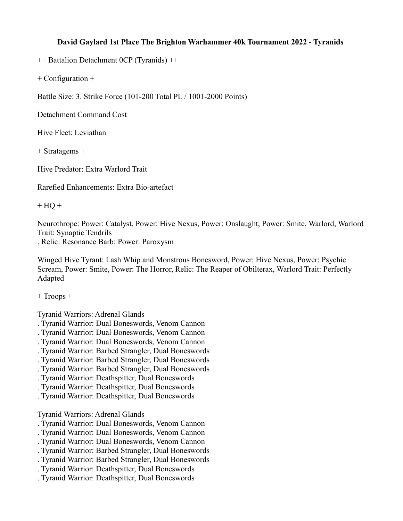## **David Gaylard 1st Place The Brighton Warhammer 40k Tournament 2022 - Tyranids**

++ Battalion Detachment 0CP (Tyranids) ++

+ Configuration +

Battle Size: 3. Strike Force (101-200 Total PL / 1001-2000 Points)

Detachment Command Cost

Hive Fleet: Leviathan

+ Stratagems +

Hive Predator: Extra Warlord Trait

Rarefied Enhancements: Extra Bio-artefact

 $+$  HQ  $+$ 

Neurothrope: Power: Catalyst, Power: Hive Nexus, Power: Onslaught, Power: Smite, Warlord, Warlord Trait: Synaptic Tendrils

. Relic: Resonance Barb: Power: Paroxysm

Winged Hive Tyrant: Lash Whip and Monstrous Bonesword, Power: Hive Nexus, Power: Psychic Scream, Power: Smite, Power: The Horror, Relic: The Reaper of Obilterax, Warlord Trait: Perfectly Adapted

+ Troops +

Tyranid Warriors: Adrenal Glands

- . Tyranid Warrior: Dual Boneswords, Venom Cannon
- . Tyranid Warrior: Dual Boneswords, Venom Cannon
- . Tyranid Warrior: Dual Boneswords, Venom Cannon
- . Tyranid Warrior: Barbed Strangler, Dual Boneswords
- . Tyranid Warrior: Barbed Strangler, Dual Boneswords
- . Tyranid Warrior: Barbed Strangler, Dual Boneswords
- . Tyranid Warrior: Deathspitter, Dual Boneswords
- . Tyranid Warrior: Deathspitter, Dual Boneswords
- . Tyranid Warrior: Deathspitter, Dual Boneswords

Tyranid Warriors: Adrenal Glands

- . Tyranid Warrior: Dual Boneswords, Venom Cannon
- . Tyranid Warrior: Dual Boneswords, Venom Cannon
- . Tyranid Warrior: Dual Boneswords, Venom Cannon
- . Tyranid Warrior: Barbed Strangler, Dual Boneswords
- . Tyranid Warrior: Barbed Strangler, Dual Boneswords
- . Tyranid Warrior: Deathspitter, Dual Boneswords
- . Tyranid Warrior: Deathspitter, Dual Boneswords